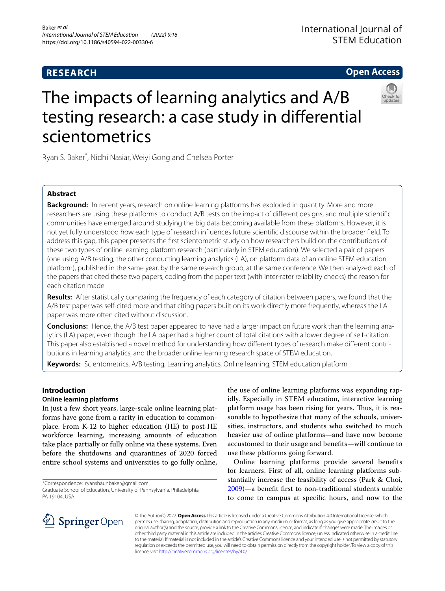# **RESEARCH**

# **Open Access**



# The impacts of learning analytics and A/B testing research: a case study in diferential scientometrics

Ryan S. Baker\* , Nidhi Nasiar, Weiyi Gong and Chelsea Porter

# **Abstract**

**Background:** In recent years, research on online learning platforms has exploded in quantity. More and more researchers are using these platforms to conduct A/B tests on the impact of diferent designs, and multiple scientifc communities have emerged around studying the big data becoming available from these platforms. However, it is not yet fully understood how each type of research infuences future scientifc discourse within the broader feld. To address this gap, this paper presents the frst scientometric study on how researchers build on the contributions of these two types of online learning platform research (particularly in STEM education). We selected a pair of papers (one using A/B testing, the other conducting learning analytics (LA), on platform data of an online STEM education platform), published in the same year, by the same research group, at the same conference. We then analyzed each of the papers that cited these two papers, coding from the paper text (with inter-rater reliability checks) the reason for each citation made.

**Results:** After statistically comparing the frequency of each category of citation between papers, we found that the A/B test paper was self-cited more and that citing papers built on its work directly more frequently, whereas the LA paper was more often cited without discussion.

**Conclusions:** Hence, the A/B test paper appeared to have had a larger impact on future work than the learning analytics (LA) paper, even though the LA paper had a higher count of total citations with a lower degree of self-citation. This paper also established a novel method for understanding how diferent types of research make diferent contributions in learning analytics, and the broader online learning research space of STEM education.

**Keywords:** Scientometrics, A/B testing, Learning analytics, Online learning, STEM education platform

# **Introduction**

# **Online learning platforms**

In just a few short years, large-scale online learning platforms have gone from a rarity in education to commonplace. From K-12 to higher education (HE) to post-HE workforce learning, increasing amounts of education take place partially or fully online via these systems. Even before the shutdowns and quarantines of 2020 forced entire school systems and universities to go fully online,

\*Correspondence: ryanshaunbaker@gmail.com

the use of online learning platforms was expanding rapidly. Especially in STEM education, interactive learning platform usage has been rising for years. Thus, it is reasonable to hypothesize that many of the schools, universities, instructors, and students who switched to much heavier use of online platforms—and have now become accustomed to their usage and benefts—will continue to use these platforms going forward.

Online learning platforms provide several benefts for learners. First of all, online learning platforms substantially increase the feasibility of access (Park & Choi, [2009](#page-9-0))—a beneft frst to non-traditional students unable to come to campus at specifc hours, and now to the



© The Author(s) 2022. **Open Access** This article is licensed under a Creative Commons Attribution 4.0 International License, which permits use, sharing, adaptation, distribution and reproduction in any medium or format, as long as you give appropriate credit to the original author(s) and the source, provide a link to the Creative Commons licence, and indicate if changes were made. The images or other third party material in this article are included in the article's Creative Commons licence, unless indicated otherwise in a credit line to the material. If material is not included in the article's Creative Commons licence and your intended use is not permitted by statutory regulation or exceeds the permitted use, you will need to obtain permission directly from the copyright holder. To view a copy of this licence, visit [http://creativecommons.org/licenses/by/4.0/.](http://creativecommons.org/licenses/by/4.0/)

Graduate School of Education, University of Pennsylvania, Philadelphia, PA 19104, USA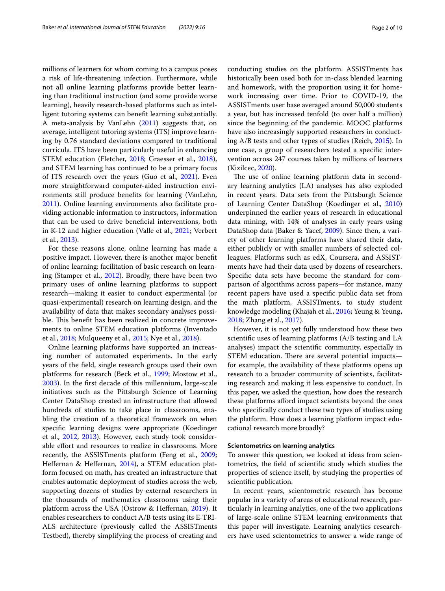millions of learners for whom coming to a campus poses a risk of life-threatening infection. Furthermore, while not all online learning platforms provide better learning than traditional instruction (and some provide worse learning), heavily research-based platforms such as intelligent tutoring systems can beneft learning substantially. A meta-analysis by VanLehn [\(2011](#page-9-1)) suggests that, on average, intelligent tutoring systems (ITS) improve learning by 0.76 standard deviations compared to traditional curricula. ITS have been particularly useful in enhancing STEM education (Fletcher, [2018;](#page-8-0) Graesser et al., [2018](#page-8-1)), and STEM learning has continued to be a primary focus of ITS research over the years (Guo et al., [2021](#page-8-2)). Even more straightforward computer-aided instruction environments still produce benefts for learning (VanLehn, [2011](#page-9-1)). Online learning environments also facilitate providing actionable information to instructors, information that can be used to drive benefcial interventions, both in K-12 and higher education (Valle et al., [2021](#page-9-2); Verbert et al., [2013](#page-9-3)).

For these reasons alone, online learning has made a positive impact. However, there is another major beneft of online learning: facilitation of basic research on learning (Stamper et al., [2012\)](#page-9-4). Broadly, there have been two primary uses of online learning platforms to support research—making it easier to conduct experimental (or quasi-experimental) research on learning design, and the availability of data that makes secondary analyses possible. This benefit has been realized in concrete improvements to online STEM education platforms (Inventado et al., [2018](#page-8-3); Mulqueeny et al., [2015;](#page-8-4) Nye et al., [2018\)](#page-9-5).

Online learning platforms have supported an increasing number of automated experiments. In the early years of the feld, single research groups used their own platforms for research (Beck et al., [1999](#page-8-5); Mostow et al., [2003](#page-8-6)). In the frst decade of this millennium, large-scale initiatives such as the Pittsburgh Science of Learning Center DataShop created an infrastructure that allowed hundreds of studies to take place in classrooms, enabling the creation of a theoretical framework on when specifc learning designs were appropriate (Koedinger et al., [2012](#page-8-7), [2013](#page-8-8)). However, each study took considerable efort and resources to realize in classrooms. More recently, the ASSISTments platform (Feng et al., [2009](#page-8-9); Heffernan & Heffernan, [2014\)](#page-8-10), a STEM education platform focused on math, has created an infrastructure that enables automatic deployment of studies across the web, supporting dozens of studies by external researchers in the thousands of mathematics classrooms using their platform across the USA (Ostrow & Heffernan, [2019\)](#page-9-6). It enables researchers to conduct A/B tests using its E-TRI-ALS architecture (previously called the ASSISTments Testbed), thereby simplifying the process of creating and conducting studies on the platform. ASSISTments has historically been used both for in-class blended learning and homework, with the proportion using it for homework increasing over time. Prior to COVID-19, the ASSISTments user base averaged around 50,000 students a year, but has increased tenfold (to over half a million) since the beginning of the pandemic. MOOC platforms have also increasingly supported researchers in conducting A/B tests and other types of studies (Reich, [2015\)](#page-9-7). In one case, a group of researchers tested a specifc intervention across 247 courses taken by millions of learners (Kizilcec, [2020\)](#page-8-11).

The use of online learning platform data in secondary learning analytics (LA) analyses has also exploded in recent years. Data sets from the Pittsburgh Science of Learning Center DataShop (Koedinger et al., [2010](#page-8-12)) underpinned the earlier years of research in educational data mining, with 14% of analyses in early years using DataShop data (Baker & Yacef, [2009\)](#page-8-13). Since then, a variety of other learning platforms have shared their data, either publicly or with smaller numbers of selected colleagues. Platforms such as edX, Coursera, and ASSISTments have had their data used by dozens of researchers. Specifc data sets have become the standard for comparison of algorithms across papers—for instance, many recent papers have used a specifc public data set from the math platform, ASSISTments, to study student knowledge modeling (Khajah et al., [2016](#page-8-14); Yeung & Yeung, [2018](#page-9-8); Zhang et al., [2017](#page-9-9)).

However, it is not yet fully understood how these two scientifc uses of learning platforms (A/B testing and LA analyses) impact the scientifc community, especially in STEM education. There are several potential impacts for example, the availability of these platforms opens up research to a broader community of scientists, facilitating research and making it less expensive to conduct. In this paper, we asked the question, how does the research these platforms aford impact scientists beyond the ones who specifcally conduct these two types of studies using the platform. How does a learning platform impact educational research more broadly?

## **Scientometrics on learning analytics**

To answer this question, we looked at ideas from scientometrics, the feld of scientifc study which studies the properties of science itself, by studying the properties of scientifc publication.

In recent years, scientometric research has become popular in a variety of areas of educational research, particularly in learning analytics, one of the two applications of large-scale online STEM learning environments that this paper will investigate. Learning analytics researchers have used scientometrics to answer a wide range of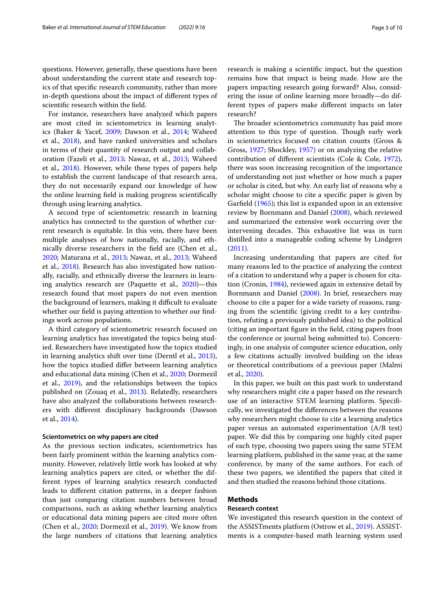questions. However, generally, these questions have been about understanding the current state and research topics of that specifc research community, rather than more in-depth questions about the impact of diferent types of scientifc research within the feld.

For instance, researchers have analyzed which papers are most cited in scientometrics in learning analytics (Baker & Yacef, [2009;](#page-8-13) Dawson et al., [2014;](#page-8-15) Waheed et al., [2018\)](#page-9-10), and have ranked universities and scholars in terms of their quantity of research output and collaboration (Fazeli et al., [2013;](#page-8-16) Nawaz, et al., [2013](#page-8-17); Waheed et al., [2018\)](#page-9-10). However, while these types of papers help to establish the current landscape of that research area, they do not necessarily expand our knowledge of how the online learning feld is making progress scientifcally through using learning analytics.

A second type of scientometric research in learning analytics has connected to the question of whether current research is equitable. In this vein, there have been multiple analyses of how nationally, racially, and ethnically diverse researchers in the feld are (Chen et al., [2020](#page-8-18); Maturana et al., [2013](#page-8-19); Nawaz, et al., [2013;](#page-8-17) Waheed et al., [2018](#page-9-10)). Research has also investigated how nationally, racially, and ethnically diverse the learners in learning analytics research are (Paquette et al., [2020](#page-9-11))—this research found that most papers do not even mention the background of learners, making it difficult to evaluate whether our field is paying attention to whether our findings work across populations.

A third category of scientometric research focused on learning analytics has investigated the topics being studied. Researchers have investigated how the topics studied in learning analytics shift over time (Derntl et al., [2013](#page-8-20)), how the topics studied difer between learning analytics and educational data mining (Chen et al., [2020](#page-8-18); Dormezil et al., [2019\)](#page-8-21), and the relationships between the topics published on (Zouaq et al., [2013\)](#page-9-12). Relatedly, researchers have also analyzed the collaborations between researchers with diferent disciplinary backgrounds (Dawson et al., [2014](#page-8-15)).

#### **Scientometrics on why papers are cited**

As the previous section indicates, scientometrics has been fairly prominent within the learning analytics community. However, relatively little work has looked at why learning analytics papers are cited, or whether the different types of learning analytics research conducted leads to diferent citation patterns, in a deeper fashion than just comparing citation numbers between broad comparisons, such as asking whether learning analytics or educational data mining papers are cited more often (Chen et al., [2020](#page-8-18); Dormezil et al., [2019](#page-8-21)). We know from the large numbers of citations that learning analytics research is making a scientifc impact, but the question remains how that impact is being made. How are the papers impacting research going forward? Also, considering the issue of online learning more broadly—do different types of papers make diferent impacts on later research?

The broader scientometrics community has paid more attention to this type of question. Though early work in scientometrics focused on citation counts (Gross & Gross, [1927;](#page-8-22) Shockley, [1957\)](#page-9-13) or on analyzing the relative contribution of diferent scientists (Cole & Cole, [1972](#page-8-23)), there was soon increasing recognition of the importance of understanding not just whether or how much a paper or scholar is cited, but why. An early list of reasons why a scholar might choose to cite a specifc paper is given by Garfeld ([1965](#page-8-24)); this list is expanded upon in an extensive review by Bornmann and Daniel ([2008](#page-8-25)), which reviewed and summarized the extensive work occurring over the intervening decades. This exhaustive list was in turn distilled into a manageable coding scheme by Lindgren ([2011\)](#page-8-26).

Increasing understanding that papers are cited for many reasons led to the practice of analyzing the context of a citation to understand why a paper is chosen for citation (Cronin, [1984\)](#page-8-27), reviewed again in extensive detail by Bornmann and Daniel [\(2008\)](#page-8-25). In brief, researchers may choose to cite a paper for a wide variety of reasons, ranging from the scientifc (giving credit to a key contribution, refuting a previously published idea) to the political (citing an important fgure in the feld, citing papers from the conference or journal being submitted to). Concerningly, in one analysis of computer science education, only a few citations actually involved building on the ideas or theoretical contributions of a previous paper (Malmi et al., [2020](#page-8-28)).

In this paper, we built on this past work to understand why researchers might cite a paper based on the research use of an interactive STEM learning platform. Specifcally, we investigated the diferences between the reasons why researchers might choose to cite a learning analytics paper versus an automated experimentation (A/B test) paper. We did this by comparing one highly cited paper of each type, choosing two papers using the same STEM learning platform, published in the same year, at the same conference, by many of the same authors. For each of these two papers, we identifed the papers that cited it and then studied the reasons behind those citations.

## **Methods**

## **Research context**

We investigated this research question in the context of the ASSISTments platform (Ostrow et al., [2019\)](#page-9-6). ASSISTments is a computer-based math learning system used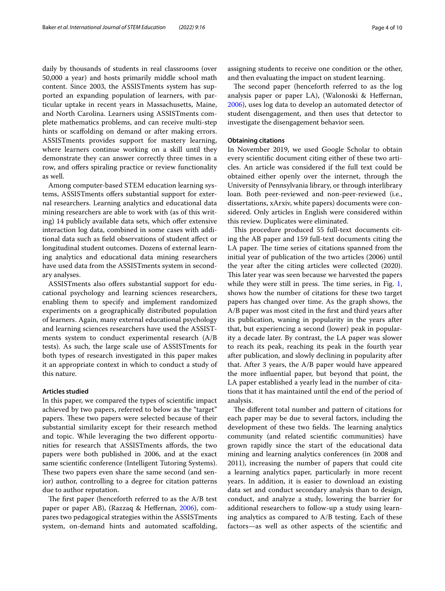daily by thousands of students in real classrooms (over 50,000 a year) and hosts primarily middle school math content. Since 2003, the ASSISTments system has supported an expanding population of learners, with particular uptake in recent years in Massachusetts, Maine, and North Carolina. Learners using ASSISTments complete mathematics problems, and can receive multi-step hints or scaffolding on demand or after making errors. ASSISTments provides support for mastery learning, where learners continue working on a skill until they demonstrate they can answer correctly three times in a row, and ofers spiraling practice or review functionality as well.

Among computer-based STEM education learning systems, ASSISTments offers substantial support for external researchers. Learning analytics and educational data mining researchers are able to work with (as of this writing) 14 publicly available data sets, which offer extensive interaction log data, combined in some cases with additional data such as feld observations of student afect or longitudinal student outcomes. Dozens of external learning analytics and educational data mining researchers have used data from the ASSISTments system in secondary analyses.

ASSISTments also offers substantial support for educational psychology and learning sciences researchers, enabling them to specify and implement randomized experiments on a geographically distributed population of learners. Again, many external educational psychology and learning sciences researchers have used the ASSISTments system to conduct experimental research (A/B tests). As such, the large scale use of ASSISTments for both types of research investigated in this paper makes it an appropriate context in which to conduct a study of this nature.

#### **Articles studied**

In this paper, we compared the types of scientifc impact achieved by two papers, referred to below as the "target" papers. These two papers were selected because of their substantial similarity except for their research method and topic. While leveraging the two diferent opportunities for research that ASSISTments afords, the two papers were both published in 2006, and at the exact same scientifc conference (Intelligent Tutoring Systems). These two papers even share the same second (and senior) author, controlling to a degree for citation patterns due to author reputation.

The first paper (henceforth referred to as the  $A/B$  test paper or paper AB), (Razzaq & Hefernan, [2006](#page-9-14)), compares two pedagogical strategies within the ASSISTments system, on-demand hints and automated scafolding, assigning students to receive one condition or the other, and then evaluating the impact on student learning.

The second paper (henceforth referred to as the log analysis paper or paper LA), (Walonoski & Hefernan, [2006](#page-9-15)), uses log data to develop an automated detector of student disengagement, and then uses that detector to investigate the disengagement behavior seen.

#### **Obtaining citations**

In November 2019, we used Google Scholar to obtain every scientifc document citing either of these two articles. An article was considered if the full text could be obtained either openly over the internet, through the University of Pennsylvania library, or through interlibrary loan. Both peer-reviewed and non-peer-reviewed (i.e., dissertations, xArxiv, white papers) documents were considered. Only articles in English were considered within this review. Duplicates were eliminated.

This procedure produced 55 full-text documents citing the AB paper and 159 full-text documents citing the LA paper. The time series of citations spanned from the initial year of publication of the two articles (2006) until the year after the citing articles were collected (2020). This later year was seen because we harvested the papers while they were still in press. The time series, in Fig.  $1$ , shows how the number of citations for these two target papers has changed over time. As the graph shows, the A/B paper was most cited in the frst and third years after its publication, waning in popularity in the years after that, but experiencing a second (lower) peak in popularity a decade later. By contrast, the LA paper was slower to reach its peak, reaching its peak in the fourth year after publication, and slowly declining in popularity after that. After 3 years, the A/B paper would have appeared the more infuential paper, but beyond that point, the LA paper established a yearly lead in the number of citations that it has maintained until the end of the period of analysis.

The different total number and pattern of citations for each paper may be due to several factors, including the development of these two fields. The learning analytics community (and related scientifc communities) have grown rapidly since the start of the educational data mining and learning analytics conferences (in 2008 and 2011), increasing the number of papers that could cite a learning analytics paper, particularly in more recent years. In addition, it is easier to download an existing data set and conduct secondary analysis than to design, conduct, and analyze a study, lowering the barrier for additional researchers to follow-up a study using learning analytics as compared to A/B testing. Each of these factors—as well as other aspects of the scientifc and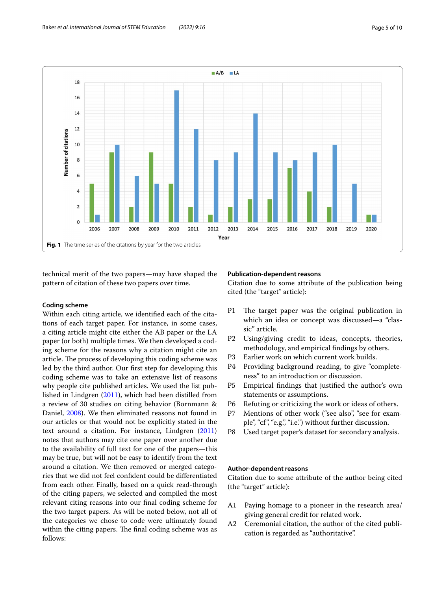

<span id="page-4-0"></span>technical merit of the two papers—may have shaped the pattern of citation of these two papers over time.

# **Coding scheme**

Within each citing article, we identifed each of the citations of each target paper. For instance, in some cases, a citing article might cite either the AB paper or the LA paper (or both) multiple times. We then developed a coding scheme for the reasons why a citation might cite an article. The process of developing this coding scheme was led by the third author. Our frst step for developing this coding scheme was to take an extensive list of reasons why people cite published articles. We used the list published in Lindgren [\(2011](#page-8-26)), which had been distilled from a review of 30 studies on citing behavior (Bornmann & Daniel, [2008\)](#page-8-25). We then eliminated reasons not found in our articles or that would not be explicitly stated in the text around a citation. For instance, Lindgren ([2011](#page-8-26)) notes that authors may cite one paper over another due to the availability of full text for one of the papers—this may be true, but will not be easy to identify from the text around a citation. We then removed or merged categories that we did not feel confdent could be diferentiated from each other. Finally, based on a quick read-through of the citing papers, we selected and compiled the most relevant citing reasons into our fnal coding scheme for the two target papers. As will be noted below, not all of the categories we chose to code were ultimately found within the citing papers. The final coding scheme was as follows:

# **Publication‑dependent reasons**

Citation due to some attribute of the publication being cited (the "target" article):

- P1 The target paper was the original publication in which an idea or concept was discussed—a "classic" article.
- P2 Using/giving credit to ideas, concepts, theories, methodology, and empirical fndings by others.
- P3 Earlier work on which current work builds.
- P4 Providing background reading, to give "completeness" to an introduction or discussion.
- P5 Empirical fndings that justifed the author's own statements or assumptions.
- P6 Refuting or criticizing the work or ideas of others.
- P7 Mentions of other work ("see also", "see for example", "cf", "e.g.", "i.e.") without further discussion.
- P8 Used target paper's dataset for secondary analysis.

# **Author‑dependent reasons**

Citation due to some attribute of the author being cited (the "target" article):

- A1 Paying homage to a pioneer in the research area/ giving general credit for related work.
- A2 Ceremonial citation, the author of the cited publication is regarded as "authoritative".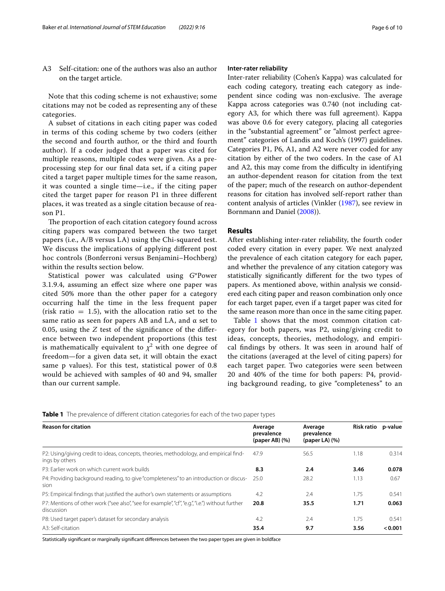A3 Self-citation: one of the authors was also an author on the target article.

Note that this coding scheme is not exhaustive; some citations may not be coded as representing any of these categories.

A subset of citations in each citing paper was coded in terms of this coding scheme by two coders (either the second and fourth author, or the third and fourth author). If a coder judged that a paper was cited for multiple reasons, multiple codes were given. As a preprocessing step for our fnal data set, if a citing paper cited a target paper multiple times for the same reason, it was counted a single time—i.e., if the citing paper cited the target paper for reason P1 in three diferent places, it was treated as a single citation because of reason P1.

The proportion of each citation category found across citing papers was compared between the two target papers (i.e., A/B versus LA) using the Chi-squared test. We discuss the implications of applying diferent post hoc controls (Bonferroni versus Benjamini–Hochberg) within the results section below.

Statistical power was calculated using *G*\*Power 3.1.9.4, assuming an efect size where one paper was cited 50% more than the other paper for a category occurring half the time in the less frequent paper (risk ratio  $= 1.5$ ), with the allocation ratio set to the same ratio as seen for papers AB and LA, and  $\alpha$  set to 0.05, using the *Z* test of the signifcance of the diference between two independent proportions (this test is mathematically equivalent to  $\chi^2$  with one degree of freedom—for a given data set, it will obtain the exact same p values). For this test, statistical power of 0.8 would be achieved with samples of 40 and 94, smaller than our current sample.

#### **Inter‑rater reliability**

Inter-rater reliability (Cohen's Kappa) was calculated for each coding category, treating each category as independent since coding was non-exclusive. The average Kappa across categories was 0.740 (not including category A3, for which there was full agreement). Kappa was above 0.6 for every category, placing all categories in the "substantial agreement" or "almost perfect agreement" categories of Landis and Koch's (1997) guidelines. Categories P1, P6, A1, and A2 were never coded for any citation by either of the two coders. In the case of A1 and A2, this may come from the difficulty in identifying an author-dependent reason for citation from the text of the paper; much of the research on author-dependent reasons for citation has involved self-report rather than content analysis of articles (Vinkler ([1987](#page-9-16)), see review in Bornmann and Daniel ([2008\)](#page-8-25)).

## **Results**

After establishing inter-rater reliability, the fourth coder coded every citation in every paper. We next analyzed the prevalence of each citation category for each paper, and whether the prevalence of any citation category was statistically signifcantly diferent for the two types of papers. As mentioned above, within analysis we considered each citing paper and reason combination only once for each target paper, even if a target paper was cited for the same reason more than once in the same citing paper.

Table [1](#page-5-0) shows that the most common citation category for both papers, was P2, using/giving credit to ideas, concepts, theories, methodology, and empirical fndings by others. It was seen in around half of the citations (averaged at the level of citing papers) for each target paper. Two categories were seen between 20 and 40% of the time for both papers: P4, providing background reading, to give "completeness" to an

<span id="page-5-0"></span>**Table 1** The prevalence of diferent citation categories for each of the two paper types

| <b>Reason for citation</b>                                                                                     | Average<br>prevalence<br>$(paper AB)$ $(\%)$ | Average<br>prevalence<br>$(paper LA)$ $(\%)$ | <b>Risk ratio</b> | p-value |
|----------------------------------------------------------------------------------------------------------------|----------------------------------------------|----------------------------------------------|-------------------|---------|
| P2: Using/giving credit to ideas, concepts, theories, methodology, and empirical find-<br>ings by others       | 47.9                                         | 56.5                                         | 1.18              | 0.314   |
| P3: Farlier work on which current work builds                                                                  | 8.3                                          | 2.4                                          | 3.46              | 0.078   |
| P4: Providing background reading, to give "completeness" to an introduction or discus- 25.0<br>sion            |                                              | 28.2                                         | 1.13              | 0.67    |
| P5: Empirical findings that justified the author's own statements or assumptions                               | 4.2                                          | 2.4                                          | 1.75              | 0.541   |
| P7: Mentions of other work ("see also", "see for example", "cf", "e.g.", "i.e.") without further<br>discussion | 20.8                                         | 35.5                                         | 1.71              | 0.063   |
| P8: Used target paper's dataset for secondary analysis                                                         | 4.2                                          | 2.4                                          | 1.75              | 0.541   |
| A3: Self-citation                                                                                              | 35.4                                         | 9.7                                          | 3.56              | < 0.001 |
|                                                                                                                |                                              |                                              |                   |         |

Statistically signifcant or marginally signifcant diferences between the two paper types are given in boldface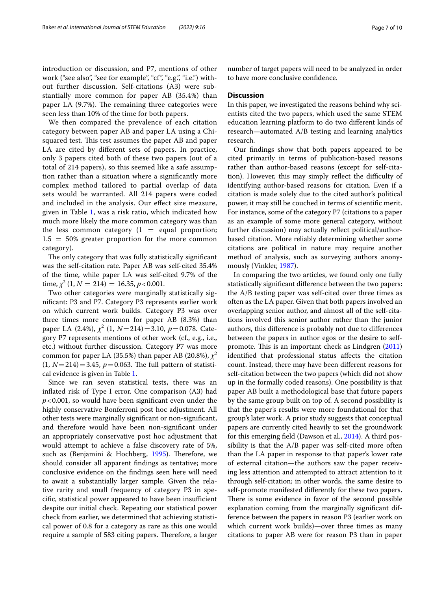introduction or discussion, and P7, mentions of other work ("see also", "see for example", "cf", "e.g.", "i.e.") without further discussion. Self-citations (A3) were substantially more common for paper AB (35.4%) than paper LA (9.7%). The remaining three categories were seen less than 10% of the time for both papers.

We then compared the prevalence of each citation category between paper AB and paper LA using a Chisquared test. This test assumes the paper AB and paper LA are cited by diferent sets of papers. In practice, only 3 papers cited both of these two papers (out of a total of 214 papers), so this seemed like a safe assumption rather than a situation where a signifcantly more complex method tailored to partial overlap of data sets would be warranted. All 214 papers were coded and included in the analysis. Our efect size measure, given in Table [1](#page-5-0), was a risk ratio, which indicated how much more likely the more common category was than the less common category  $(1 =$  equal proportion;  $1.5 = 50\%$  greater proportion for the more common category).

The only category that was fully statistically significant was the self-citation rate. Paper AB was self-cited 35.4% of the time, while paper LA was self-cited 9.7% of the time,  $\chi^2$  (1,  $N = 214$ ) = 16.35, *p* < 0.001.

Two other categories were marginally statistically signifcant: P3 and P7. Category P3 represents earlier work on which current work builds. Category P3 was over three times more common for paper AB (8.3%) than paper LA (2.4%), *χ*<sup>2</sup> (1, *N*=214)=3.10, *p*=0.078. Category P7 represents mentions of other work (cf., e.g., i.e., etc.) without further discussion. Category P7 was more common for paper LA (35.5%) than paper AB (20.8%),  $\chi^2$  $(1, N=214)=3.45, p=0.063.$  The full pattern of statistical evidence is given in Table [1.](#page-5-0)

Since we ran seven statistical tests, there was an infated risk of Type I error. One comparison (A3) had *p*<0.001, so would have been signifcant even under the highly conservative Bonferroni post hoc adjustment. All other tests were marginally signifcant or non-signifcant, and therefore would have been non-signifcant under an appropriately conservative post hoc adjustment that would attempt to achieve a false discovery rate of 5%, such as (Benjamini & Hochberg, [1995](#page-8-29)). Therefore, we should consider all apparent fndings as tentative; more conclusive evidence on the fndings seen here will need to await a substantially larger sample. Given the relative rarity and small frequency of category P3 in specific, statistical power appeared to have been insufficient despite our initial check. Repeating our statistical power check from earlier, we determined that achieving statistical power of 0.8 for a category as rare as this one would require a sample of 583 citing papers. Therefore, a larger number of target papers will need to be analyzed in order to have more conclusive confdence.

## **Discussion**

In this paper, we investigated the reasons behind why scientists cited the two papers, which used the same STEM education learning platform to do two diferent kinds of research—automated A/B testing and learning analytics research.

Our fndings show that both papers appeared to be cited primarily in terms of publication-based reasons rather than author-based reasons (except for self-citation). However, this may simply reflect the difficulty of identifying author-based reasons for citation. Even if a citation is made solely due to the cited author's political power, it may still be couched in terms of scientifc merit. For instance, some of the category P7 (citations to a paper as an example of some more general category, without further discussion) may actually refect political/authorbased citation. More reliably determining whether some citations are political in nature may require another method of analysis, such as surveying authors anonymously (Vinkler, [1987\)](#page-9-16).

In comparing the two articles, we found only one fully statistically signifcant diference between the two papers: the A/B testing paper was self-cited over three times as often as the LA paper. Given that both papers involved an overlapping senior author, and almost all of the self-citations involved this senior author rather than the junior authors, this diference is probably not due to diferences between the papers in author egos or the desire to self-promote. This is an important check as Lindgren ([2011](#page-8-26)) identifed that professional status afects the citation count. Instead, there may have been diferent reasons for self-citation between the two papers (which did not show up in the formally coded reasons). One possibility is that paper AB built a methodological base that future papers by the same group built on top of. A second possibility is that the paper's results were more foundational for that group's later work. A prior study suggests that conceptual papers are currently cited heavily to set the groundwork for this emerging feld (Dawson et al., [2014](#page-8-15)). A third possibility is that the A/B paper was self-cited more often than the LA paper in response to that paper's lower rate of external citation—the authors saw the paper receiving less attention and attempted to attract attention to it through self-citation; in other words, the same desire to self-promote manifested diferently for these two papers. There is some evidence in favor of the second possible explanation coming from the marginally signifcant difference between the papers in reason P3 (earlier work on which current work builds)—over three times as many citations to paper AB were for reason P3 than in paper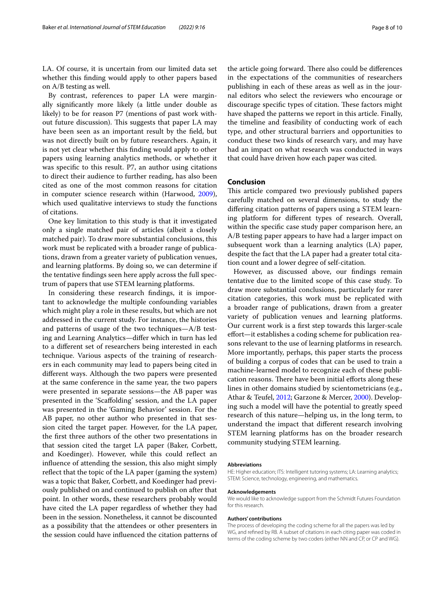LA. Of course, it is uncertain from our limited data set whether this fnding would apply to other papers based on A/B testing as well.

By contrast, references to paper LA were marginally signifcantly more likely (a little under double as likely) to be for reason P7 (mentions of past work without future discussion). This suggests that paper LA may have been seen as an important result by the feld, but was not directly built on by future researchers. Again, it is not yet clear whether this fnding would apply to other papers using learning analytics methods, or whether it was specifc to this result. P7, an author using citations to direct their audience to further reading, has also been cited as one of the most common reasons for citation in computer science research within (Harwood, [2009](#page-8-30)), which used qualitative interviews to study the functions of citations.

One key limitation to this study is that it investigated only a single matched pair of articles (albeit a closely matched pair). To draw more substantial conclusions, this work must be replicated with a broader range of publications, drawn from a greater variety of publication venues, and learning platforms. By doing so, we can determine if the tentative fndings seen here apply across the full spectrum of papers that use STEM learning platforms.

In considering these research fndings, it is important to acknowledge the multiple confounding variables which might play a role in these results, but which are not addressed in the current study. For instance, the histories and patterns of usage of the two techniques—A/B testing and Learning Analytics—difer which in turn has led to a diferent set of researchers being interested in each technique. Various aspects of the training of researchers in each community may lead to papers being cited in diferent ways. Although the two papers were presented at the same conference in the same year, the two papers were presented in separate sessions—the AB paper was presented in the 'Scafolding' session, and the LA paper was presented in the 'Gaming Behavior' session. For the AB paper, no other author who presented in that session cited the target paper. However, for the LA paper, the frst three authors of the other two presentations in that session cited the target LA paper (Baker, Corbett, and Koedinger). However, while this could refect an infuence of attending the session, this also might simply refect that the topic of the LA paper (gaming the system) was a topic that Baker, Corbett, and Koedinger had previously published on and continued to publish on after that point. In other words, these researchers probably would have cited the LA paper regardless of whether they had been in the session. Nonetheless, it cannot be discounted as a possibility that the attendees or other presenters in the session could have infuenced the citation patterns of the article going forward. There also could be differences in the expectations of the communities of researchers publishing in each of these areas as well as in the journal editors who select the reviewers who encourage or discourage specific types of citation. These factors might have shaped the patterns we report in this article. Finally, the timeline and feasibility of conducting work of each type, and other structural barriers and opportunities to conduct these two kinds of research vary, and may have had an impact on what research was conducted in ways that could have driven how each paper was cited.

## **Conclusion**

This article compared two previously published papers carefully matched on several dimensions, to study the difering citation patterns of papers using a STEM learning platform for diferent types of research. Overall, within the specifc case study paper comparison here, an A/B testing paper appears to have had a larger impact on subsequent work than a learning analytics (LA) paper, despite the fact that the LA paper had a greater total citation count and a lower degree of self-citation.

However, as discussed above, our fndings remain tentative due to the limited scope of this case study. To draw more substantial conclusions, particularly for rarer citation categories, this work must be replicated with a broader range of publications, drawn from a greater variety of publication venues and learning platforms. Our current work is a frst step towards this larger-scale effort—it establishes a coding scheme for publication reasons relevant to the use of learning platforms in research. More importantly, perhaps, this paper starts the process of building a corpus of codes that can be used to train a machine-learned model to recognize each of these publication reasons. There have been initial efforts along these lines in other domains studied by scientometricians (e.g., Athar & Teufel, [2012](#page-8-31); Garzone & Mercer, [2000\)](#page-8-32). Developing such a model will have the potential to greatly speed research of this nature—helping us, in the long term, to understand the impact that diferent research involving STEM learning platforms has on the broader research community studying STEM learning.

#### **Abbreviations**

HE: Higher education; ITS: Intelligent tutoring systems; LA: Learning analytics; STEM: Science, technology, engineering, and mathematics.

#### **Acknowledgements**

We would like to acknowledge support from the Schmidt Futures Foundation for this research.

#### **Authors' contributions**

The process of developing the coding scheme for all the papers was led by WG, and refned by RB. A subset of citations in each citing paper was coded in terms of the coding scheme by two coders (either NN and CP, or CP and WG).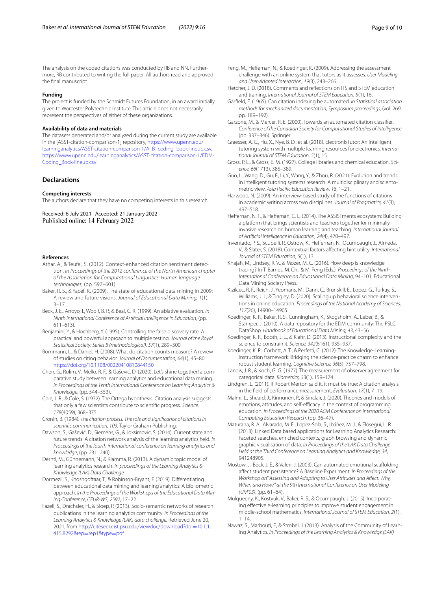The analysis on the coded citations was conducted by RB and NN. Furthermore, RB contributed to writing the full paper. All authors read and approved the fnal manuscript.

#### **Funding**

The project is funded by the Schmidt Futures Foundation, in an award initially given to Worcester Polytechnic Institute. This article does not necessarily represent the perspectives of either of these organizations.

#### **Availability of data and materials**

The datasets generated and/or analyzed during the current study are available in the [ASST-citation-comparison-1] repository, [https://www.upenn.edu/](https://www.upenn.edu/learninganalytics/ASST-citation-comparison-1/A_B_coding_book-lineup.csv) [learninganalytics/ASST-citation-comparison-1/A\\_B\\_coding\\_book-lineup.csv,](https://www.upenn.edu/learninganalytics/ASST-citation-comparison-1/A_B_coding_book-lineup.csv) [https://www.upenn.edu/learninganalytics/ASST-citation-comparison-1/EDM-](https://www.upenn.edu/learninganalytics/ASST-citation-comparison-1/EDM-Coding_Book-lineup.csv)[Coding\\_Book-lineup.csv](https://www.upenn.edu/learninganalytics/ASST-citation-comparison-1/EDM-Coding_Book-lineup.csv)

## **Declarations**

#### **Competing interests**

The authors declare that they have no competing interests in this research.

Received: 6 July 2021 Accepted: 21 January 2022 Published online: 14 February 2022

#### **References**

- <span id="page-8-31"></span>Athar, A., & Teufel, S. (2012). Context-enhanced citation sentiment detection. *In Proceedings of the 2012 conference of the North American chapter of the Association for Computational Linguistics: Human language technologies,* (pp. 597–601).
- <span id="page-8-13"></span>Baker, R. S., & Yacef, K. (2009). The state of educational data mining in 2009: A review and future visions. *Journal of Educational Data Mining, 1*(1), 3–17.
- <span id="page-8-5"></span>Beck, J. E., Arroyo, I., Woolf, B. P., & Beal, C. R. (1999). An ablative evaluation*. In Ninth International Conference of Artifcial Intelligence in Education*, (pp. 611–613).
- <span id="page-8-29"></span>Benjamini, Y., & Hochberg, Y. (1995). Controlling the false discovery rate: A practical and powerful approach to multiple testing. *Journal of the Royal Statistical Society: Series B (methodological), 57*(1), 289–300.
- <span id="page-8-25"></span>Bornmann, L., & Daniel, H. (2008). What do citation counts measure? A review of studies on citing behavior. *Journal of Documentation, 64*(1), 45–80. <https://doi.org/10.1108/00220410810844150>
- <span id="page-8-18"></span>Chen, G., Rolim, V., Mello, R. F., & Gašević, D. (2020). Let's shine together! a comparative study between learning analytics and educational data mining. *In Proceedings of the Tenth International Conference on Learning Analytics & Knowledge*, (pp. 544–553).
- <span id="page-8-23"></span>Cole, J. R., & Cole, S. (1972). The Ortega hypothesis: Citation analysis suggests that only a few scientists contribute to scientifc progress. *Science, 178*(4059), 368–375.
- <span id="page-8-27"></span>Cronin, B. (1984). *The citation process. The role and signifcance of citations in scientifc communication, 103*. Taylor Graham Publishing.
- <span id="page-8-15"></span>Dawson, S., Gašević, D., Siemens, G., & Joksimovic, S. (2014). Current state and future trends: A citation network analysis of the learning analytics feld. *In Proceedings of the fourth international conference on learning analytics and knowledge*, (pp. 231–240).
- <span id="page-8-20"></span>Derntl, M., Günnemann, N., & Klamma, R. (2013). A dynamic topic model of learning analytics research. *In proceedings of the Learning Analytics & Knowledge (LAK) Data Challenge.*
- <span id="page-8-21"></span>Dormezil, S., Khoshgoftaar, T., & Robinson-Bryant, F. (2019). Diferentiating between educational data mining and learning analytics: A bibliometric approach. *In the Proceedings of the Workshops of the Educational Data Mining Conference, CEUR-WS, 2592*, 17–22.
- <span id="page-8-16"></span>Fazeli, S., Drachsler, H., & Sloep, P. (2013). Socio-semantic networks of research publications in the learning analytics community. *In Proceedings of the Learning Analytics & Knowledge (LAK) data challenge.* Retrieved June 20, 2021, from [http://citeseerx.ist.psu.edu/viewdoc/download?doi](http://citeseerx.ist.psu.edu/viewdoc/download?doi=10.1.1.415.8292&rep=rep1&type=pdf)=10.1.1. [415.8292&rep](http://citeseerx.ist.psu.edu/viewdoc/download?doi=10.1.1.415.8292&rep=rep1&type=pdf)=rep1&type=pdf
- <span id="page-8-9"></span>Feng, M., Heffernan, N., & Koedinger, K. (2009). Addressing the assessment challenge with an online system that tutors as it assesses. *User Modeling and User-Adapted Interaction, 19*(3), 243–266.
- <span id="page-8-0"></span>Fletcher, J. D. (2018). Comments and refections on ITS and STEM education and training. *International Journal of STEM Education, 5*(1), 16.
- <span id="page-8-24"></span>Garfeld, E. (1965). Can citation indexing be automated. *In Statistical association methods for mechanized documentation, Symposium proceedings,* (vol. 269, pp. 189-192).
- <span id="page-8-32"></span>Garzone, M., & Mercer, R. E. (2000). Towards an automated citation classifer. *Conference of the Canadian Society for Computational Studies of Intelligence* (pp. 337–346). Springer.
- <span id="page-8-1"></span>Graesser, A. C., Hu, X., Nye, B. D., et al. (2018). ElectronixTutor: An intelligent tutoring system with multiple learning resources for electronics. *International Journal of STEM Education, 5*(1), 15.
- <span id="page-8-22"></span>Gross, P. L., & Gross, E. M. (1927). College libraries and chemical education. *Science, 66*(1713), 385–389.
- <span id="page-8-2"></span>Guo, L., Wang, D., Gu, F., Li, Y., Wang, Y., & Zhou, R. (2021). Evolution and trends in intelligent tutoring systems research: A multidisciplinary and scientometric view. *Asia Pacifc Education Review, 18*, 1–21.

<span id="page-8-30"></span>Harwood, N. (2009). An interview-based study of the functions of citations in academic writing across two disciplines. *Journal of Pragmatics, 41*(3), 497–518.

- <span id="page-8-10"></span>Heffernan, N. T., & Heffernan, C. L. (2014). The ASSISTments ecosystem: Building a platform that brings scientists and teachers together for minimally invasive research on human learning and teaching. *International Journal of Artifcial Intelligence in Education, 24*(4), 470–497.
- <span id="page-8-3"></span>Inventado, P. S., Scupelli, P., Ostrow, K., Hefernan, N., Ocumpaugh, J., Almeda, V., & Slater, S. (2018). Contextual factors afecting hint utility. *International Journal of STEM Education, 5*(1), 13.
- <span id="page-8-14"></span>Khajah, M., Lindsey, R. V., & Mozer, M. C. (2016). How deep is knowledge tracing? In T. Barnes, M. Chi, & M. Feng (Eds.), *Proceedings of the Ninth International Conference on Educational Data Mining*, 94–101. Educational Data Mining Society Press.
- <span id="page-8-11"></span>Kizilcec, R. F., Reich, J., Yeomans, M., Dann, C., Brunskill, E., Lopez, G., Turkay, S., Williams, J. J., & Tingley, D. (2020). Scaling up behavioral science interventions in online education. *Proceedings of the National Academy of Sciences, 117*(26), 14900–14905.
- <span id="page-8-12"></span>Koedinger, K. R., Baker, R. S., Cunningham, K., Skogsholm, A., Leber, B., & Stamper, J. (2010). A data repository for the EDM community: The PSLC DataShop. *Handbook of Educational Data Mining, 43*, 43–56.
- <span id="page-8-8"></span>Koedinger, K. R., Booth, J. L., & Klahr, D. (2013). Instructional complexity and the science to constrain it. *Science, 342*(6161), 935–937.
- <span id="page-8-7"></span>Koedinger, K. R., Corbett, A. T., & Perfetti, C. (2012). The Knowledge-Learning-Instruction framework: Bridging the science-practice chasm to enhance robust student learning. *Cognitive Science, 36*(5), 757–798.
- Landis, J. R., & Koch, G. G. (1977). The measurement of observer agreement for categorical data. *Biometrics, 33*(1), 159–174.
- <span id="page-8-26"></span>Lindgren, L. (2011). If Robert Merton said it, it must be true: A citation analysis in the feld of performance measurement. *Evaluation, 17*(1), 7–19.
- <span id="page-8-28"></span>Malmi, L., Sheard, J., Kinnunen, P., & Sinclair, J. (2020). Theories and models of emotions, attitudes, and self-efficacy in the context of programming education. *In Proceedings of the 2020 ACM Conference on International Computing Education Research*, (pp. 36–47).
- <span id="page-8-19"></span>Maturana, R. A., Alvarado, M. E., López-Sola, S., Ibáñez, M. J., & Elósegui, L. R. (2013). Linked Data based applications for Learning Analytics Research: Faceted searches, enriched contexts, graph browsing and dynamic graphic visualisation of data. *In Proceedings of the LAK Data Challenge Held at the Third Conference on Learning Analytics and Knowledge, 34*, 941248905.
- <span id="page-8-6"></span>Mostow, J., Beck, J. E., & Valeri, J. (2003). Can automated emotional scafolding afect student persistence? A Baseline Experiment*. In Proceedings of the Workshop on" Assessing and Adapting to User Attitudes and Afect: Why, When and How?" at the 9th International Conference on User Modeling (UM'03)*, (pp. 61–64).
- <span id="page-8-4"></span>Mulqueeny, K., Kostyuk, V., Baker, R. S., & Ocumpaugh, J. (2015). Incorporating effective e-learning principles to improve student engagement in middle-school mathematics. *International Journal of STEM Education, 2*(1),  $1 - 14$
- <span id="page-8-17"></span>Nawaz, S., Marbouti, F., & Strobel, J. (2013). Analysis of the Community of Learning Analytics. *In Proceedings of the Learning Analytics & Knowledge (LAK)*